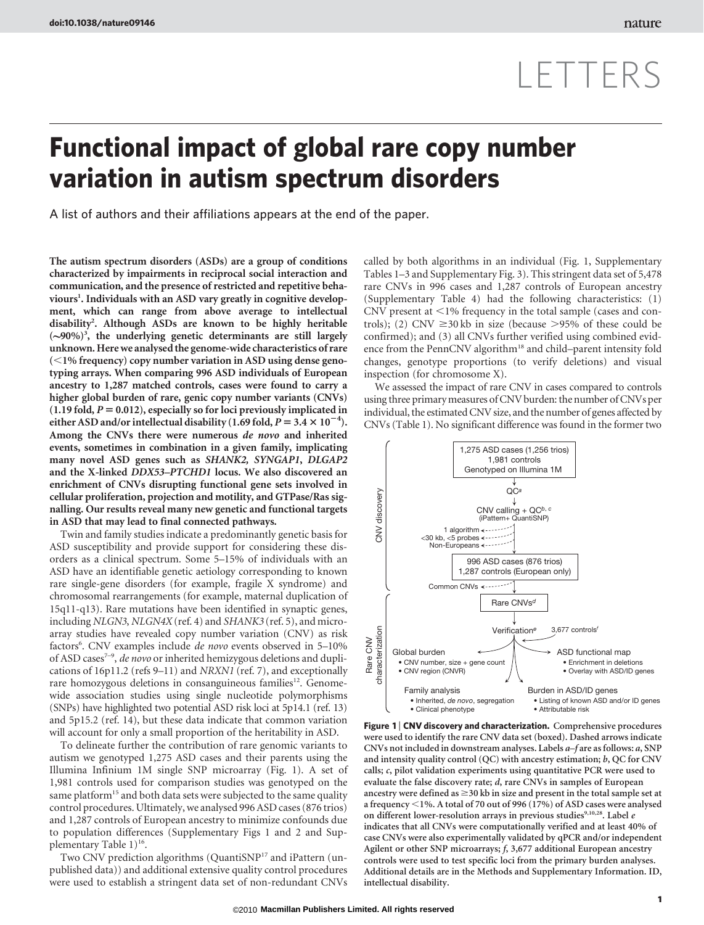# LETTERS

# Functional impact of global rare copy number variation in autism spectrum disorders

A list of authors and their affiliations appears at the end of the paper.

The autism spectrum disorders (ASDs) are a group of conditions characterized by impairments in reciprocal social interaction and communication, and the presence of restricted and repetitive behaviours<sup>1</sup>. Individuals with an ASD vary greatly in cognitive development, which can range from above average to intellectual disability<sup>2</sup>. Although ASDs are known to be highly heritable  $({\sim}90\%)$ <sup>3</sup>, the underlying genetic determinants are still largely unknown. Herewe analysed the genome-wide characteristics of rare  $(<1%$  frequency) copy number variation in ASD using dense genotyping arrays. When comparing 996 ASD individuals of European ancestry to 1,287 matched controls, cases were found to carry a higher global burden of rare, genic copy number variants (CNVs)  $(1.19 \text{ fold}, P = 0.012)$ , especially so for loci previously implicated in either ASD and/or intellectual disability (1.69 fold,  $P = 3.4 \times 10^{-4}$ ). Among the CNVs there were numerous de novo and inherited events, sometimes in combination in a given family, implicating many novel ASD genes such as SHANK2, SYNGAP1, DLGAP2 and the X-linked DDX53–PTCHD1 locus. We also discovered an enrichment of CNVs disrupting functional gene sets involved in cellular proliferation, projection and motility, and GTPase/Ras signalling. Our results reveal many new genetic and functional targets in ASD that may lead to final connected pathways.

Twin and family studies indicate a predominantly genetic basis for ASD susceptibility and provide support for considering these disorders as a clinical spectrum. Some 5–15% of individuals with an ASD have an identifiable genetic aetiology corresponding to known rare single-gene disorders (for example, fragile X syndrome) and chromosomal rearrangements (for example, maternal duplication of 15q11-q13). Rare mutations have been identified in synaptic genes, including NLGN3, NLGN4X (ref. 4) and SHANK3 (ref. 5), and microarray studies have revealed copy number variation (CNV) as risk factors<sup>6</sup>. CNV examples include de novo events observed in 5-10% of ASD cases<sup>7-9</sup>, de novo or inherited hemizygous deletions and duplications of 16p11.2 (refs 9–11) and NRXN1 (ref. 7), and exceptionally rare homozygous deletions in consanguineous families<sup>12</sup>. Genomewide association studies using single nucleotide polymorphisms (SNPs) have highlighted two potential ASD risk loci at 5p14.1 (ref. 13) and 5p15.2 (ref. 14), but these data indicate that common variation will account for only a small proportion of the heritability in ASD.

To delineate further the contribution of rare genomic variants to autism we genotyped 1,275 ASD cases and their parents using the Illumina Infinium 1M single SNP microarray (Fig. 1). A set of 1,981 controls used for comparison studies was genotyped on the same platform<sup>15</sup> and both data sets were subjected to the same quality control procedures. Ultimately, we analysed 996 ASD cases (876 trios) and 1,287 controls of European ancestry to minimize confounds due to population differences (Supplementary Figs 1 and 2 and Supplementary Table  $1)^{16}$ .

Two CNV prediction algorithms (QuantiSNP<sup>17</sup> and iPattern (unpublished data)) and additional extensive quality control procedures were used to establish a stringent data set of non-redundant CNVs called by both algorithms in an individual (Fig. 1, Supplementary Tables 1–3 and Supplementary Fig. 3). This stringent data set of 5,478 rare CNVs in 996 cases and 1,287 controls of European ancestry (Supplementary Table 4) had the following characteristics: (1) CNV present at  $\leq$ 1% frequency in the total sample (cases and controls); (2) CNV  $\geq$ 30 kb in size (because  $>$ 95% of these could be confirmed); and (3) all CNVs further verified using combined evidence from the PennCNV algorithm<sup>18</sup> and child–parent intensity fold changes, genotype proportions (to verify deletions) and visual inspection (for chromosome X).

We assessed the impact of rare CNV in cases compared to controls using three primary measures of CNV burden: the number of CNVs per individual, the estimated CNV size, and the number of genes affected by CNVs (Table 1). No significant difference was found in the former two



Figure 1 | CNV discovery and characterization. Comprehensive procedures were used to identify the rare CNV data set (boxed). Dashed arrows indicate CNVs not included in downstream analyses. Labels a–f are as follows: a, SNP and intensity quality control (QC) with ancestry estimation; b, QC for CNV calls; c, pilot validation experiments using quantitative PCR were used to evaluate the false discovery rate; d, rare CNVs in samples of European ancestry were defined as  $\geq$ 30 kb in size and present in the total sample set at a frequency  $\leq$  1%. A total of 70 out of 996 (17%) of ASD cases were analysed on different lower-resolution arrays in previous studies9,10,28. Label  $\boldsymbol{e}$ indicates that all CNVs were computationally verified and at least 40% of case CNVs were also experimentally validated by qPCR and/or independent Agilent or other SNP microarrays; f, 3,677 additional European ancestry controls were used to test specific loci from the primary burden analyses. Additional details are in the Methods and Supplementary Information. ID, intellectual disability.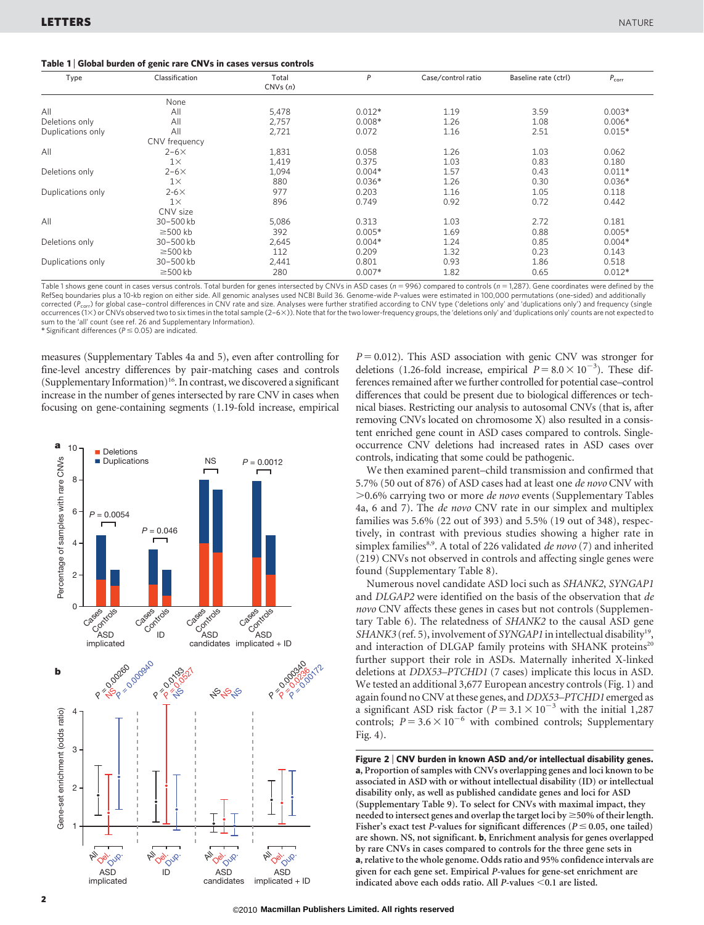## Table 1 <sup>|</sup> Global burden of genic rare CNVs in cases versus controls

| Type              | Classification | Total<br>CNVs(n) | P        | Case/control ratio | Baseline rate (ctrl) | $P_{corr}$ |
|-------------------|----------------|------------------|----------|--------------------|----------------------|------------|
|                   | None           |                  |          |                    |                      |            |
| All               | All            | 5,478            | $0.012*$ | 1.19               | 3.59                 | $0.003*$   |
| Deletions only    | All            | 2,757            | $0.008*$ | 1.26               | 1.08                 | $0.006*$   |
| Duplications only | All            | 2,721            | 0.072    | 1.16               | 2.51                 | $0.015*$   |
|                   | CNV frequency  |                  |          |                    |                      |            |
| All               | $2-6\times$    | 1,831            | 0.058    | 1.26               | 1.03                 | 0.062      |
|                   | $1\times$      | 1,419            | 0.375    | 1.03               | 0.83                 | 0.180      |
| Deletions only    | $2-6\times$    | 1,094            | $0.004*$ | 1.57               | 0.43                 | $0.011*$   |
|                   | $1\times$      | 880              | $0.036*$ | 1.26               | 0.30                 | $0.036*$   |
| Duplications only | $2-6\times$    | 977              | 0.203    | 1.16               | 1.05                 | 0.118      |
|                   | $1\times$      | 896              | 0.749    | 0.92               | 0.72                 | 0.442      |
|                   | CNV size       |                  |          |                    |                      |            |
| All               | 30-500 kb      | 5,086            | 0.313    | 1.03               | 2.72                 | 0.181      |
|                   | $\geq$ 500 kb  | 392              | $0.005*$ | 1.69               | 0.88                 | $0.005*$   |
| Deletions only    | 30-500 kb      | 2,645            | $0.004*$ | 1.24               | 0.85                 | $0.004*$   |
|                   | $\geq$ 500 kb  | 112              | 0.209    | 1.32               | 0.23                 | 0.143      |
| Duplications only | 30-500 kb      | 2,441            | 0.801    | 0.93               | 1.86                 | 0.518      |
|                   | $\geq$ 500 kb  | 280              | $0.007*$ | 1.82               | 0.65                 | $0.012*$   |

Table 1 shows gene count in cases versus controls. Total burden for genes intersected by CNVs in ASD cases ( $n = 996$ ) compared to controls ( $n = 1,287$ ). Gene coordinates were defined by the RefSeq boundaries plus a 10-kb region on either side. All genomic analyses used NCBI Build 36. Genome-wide P-values were estimated in 100,000 permutations (one-sided) and additionally corrected ( $P_{corr}$ ) for global case–control differences in CNV rate and size. Analyses were further stratified according to CNV type ('deletions only' and 'duplications only') and frequency (single occurrences (13) or CNVs observed two to six times in the total sample (2–63)). Note that for the two lower-frequency groups, the 'deletions only' and 'duplications only' counts are not expected to sum to the 'all' count (see ref. 26 and Supplementary Information).

\* Significant differences ( $P \le 0.05$ ) are indicated.

measures (Supplementary Tables 4a and 5), even after controlling for fine-level ancestry differences by pair-matching cases and controls (Supplementary Information)<sup>16</sup>. In contrast, we discovered a significant increase in the number of genes intersected by rare CNV in cases when focusing on gene-containing segments (1.19-fold increase, empirical



 $P = 0.012$ ). This ASD association with genic CNV was stronger for deletions (1.26-fold increase, empirical  $P = 8.0 \times 10^{-3}$ ). These differences remained after we further controlled for potential case–control differences that could be present due to biological differences or technical biases. Restricting our analysis to autosomal CNVs (that is, after removing CNVs located on chromosome X) also resulted in a consistent enriched gene count in ASD cases compared to controls. Singleoccurrence CNV deletions had increased rates in ASD cases over controls, indicating that some could be pathogenic.

We then examined parent–child transmission and confirmed that 5.7% (50 out of 876) of ASD cases had at least one de novo CNV with  $>0.6\%$  carrying two or more *de novo* events (Supplementary Tables 4a, 6 and 7). The de novo CNV rate in our simplex and multiplex families was 5.6% (22 out of 393) and 5.5% (19 out of 348), respectively, in contrast with previous studies showing a higher rate in simplex families<sup>8,9</sup>. A total of 226 validated de novo (7) and inherited (219) CNVs not observed in controls and affecting single genes were found (Supplementary Table 8).

Numerous novel candidate ASD loci such as SHANK2, SYNGAP1 and DLGAP2 were identified on the basis of the observation that de novo CNV affects these genes in cases but not controls (Supplementary Table 6). The relatedness of SHANK2 to the causal ASD gene SHANK3 (ref. 5), involvement of SYNGAP1 in intellectual disability<sup>19</sup> and interaction of DLGAP family proteins with SHANK proteins<sup>20</sup> further support their role in ASDs. Maternally inherited X-linked deletions at DDX53–PTCHD1 (7 cases) implicate this locus in ASD. We tested an additional 3,677 European ancestry controls (Fig. 1) and again found no CNV at these genes, and DDX53–PTCHD1 emerged as a significant ASD risk factor ( $P = 3.1 \times 10^{-3}$  with the initial 1,287 controls;  $P = 3.6 \times 10^{-6}$  with combined controls; Supplementary Fig. 4).

Figure 2 <sup>|</sup> CNV burden in known ASD and/or intellectual disability genes. a, Proportion of samples with CNVs overlapping genes and loci known to be associated in ASD with or without intellectual disability (ID) or intellectual disability only, as well as published candidate genes and loci for ASD (Supplementary Table 9). To select for CNVs with maximal impact, they needed to intersect genes and overlap the target loci by  $\geq$  50% of their length. Fisher's exact test P-values for significant differences ( $P \le 0.05$ , one tailed) are shown. NS, not significant. b, Enrichment analysis for genes overlapped by rare CNVs in cases compared to controls for the three gene sets in a, relative to the whole genome. Odds ratio and 95% confidence intervals are given for each gene set. Empirical P-values for gene-set enrichment are indicated above each odds ratio. All  $P$ -values <0.1 are listed.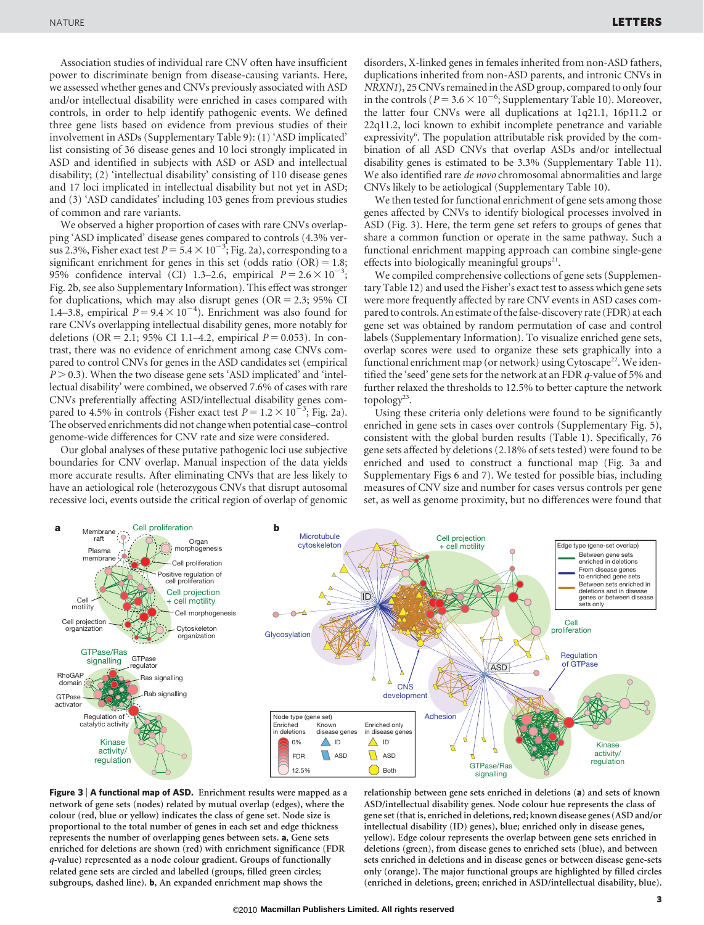Association studies of individual rare CNV often have insufficient power to discriminate benign from disease-causing variants. Here, we assessed whether genes and CNVs previously associated with ASD and/or intellectual disability were enriched in cases compared with controls, in order to help identify pathogenic events. We defined three gene lists based on evidence from previous studies of their involvement in ASDs (Supplementary Table 9): (1) 'ASD implicated' list consisting of 36 disease genes and 10 loci strongly implicated in ASD and identified in subjects with ASD or ASD and intellectual disability; (2) 'intellectual disability' consisting of 110 disease genes and 17 loci implicated in intellectual disability but not yet in ASD; and (3) 'ASD candidates' including 103 genes from previous studies of common and rare variants.

We observed a higher proportion of cases with rare CNVs overlapping 'ASD implicated' disease genes compared to controls (4.3% versus 2.3%, Fisher exact test  $P = 5.4 \times 10^{-3}$ ; Fig. 2a), corresponding to a significant enrichment for genes in this set (odds ratio  $(OR) = 1.8$ ; 95% confidence interval (CI) 1.3–2.6, empirical  $P = 2.6 \times 10^{-3}$ ; Fig. 2b, see also Supplementary Information). This effect was stronger for duplications, which may also disrupt genes ( $OR = 2.3$ ; 95% CI 1.4–3.8, empirical  $P = 9.4 \times 10^{-4}$ ). Enrichment was also found for rare CNVs overlapping intellectual disability genes, more notably for deletions (OR = 2.1; 95% CI 1.1–4.2, empirical  $P = 0.053$ ). In contrast, there was no evidence of enrichment among case CNVs compared to control CNVs for genes in the ASD candidates set (empirical  $P > 0.3$ ). When the two disease gene sets 'ASD implicated' and 'intellectual disability' were combined, we observed 7.6% of cases with rare CNVs preferentially affecting ASD/intellectual disability genes compared to 4.5% in controls (Fisher exact test  $P = 1.2 \times 10^{-3}$ ; Fig. 2a). The observed enrichments did not change when potential case–control genome-wide differences for CNV rate and size were considered.

Our global analyses of these putative pathogenic loci use subjective boundaries for CNV overlap. Manual inspection of the data yields more accurate results. After eliminating CNVs that are less likely to have an aetiological role (heterozygous CNVs that disrupt autosomal recessive loci, events outside the critical region of overlap of genomic

disorders, X-linked genes in females inherited from non-ASD fathers, duplications inherited from non-ASD parents, and intronic CNVs in NRXN1), 25 CNVs remained in the ASD group, compared to onlyfour in the controls ( $P = 3.6 \times 10^{-6}$ ; Supplementary Table 10). Moreover, the latter four CNVs were all duplications at 1q21.1, 16p11.2 or 22q11.2, loci known to exhibit incomplete penetrance and variable expressivity<sup>6</sup>. The population attributable risk provided by the combination of all ASD CNVs that overlap ASDs and/or intellectual disability genes is estimated to be 3.3% (Supplementary Table 11). We also identified rare *de novo* chromosomal abnormalities and large CNVs likely to be aetiological (Supplementary Table 10).

We then tested for functional enrichment of gene sets among those genes affected by CNVs to identify biological processes involved in ASD (Fig. 3). Here, the term gene set refers to groups of genes that share a common function or operate in the same pathway. Such a functional enrichment mapping approach can combine single-gene effects into biologically meaningful groups $21$ .

We compiled comprehensive collections of gene sets (Supplementary Table 12) and used the Fisher's exact test to assess which gene sets were more frequently affected by rare CNV events in ASD cases compared to controls. An estimate of the false-discovery rate (FDR) at each gene set was obtained by random permutation of case and control labels (Supplementary Information). To visualize enriched gene sets, overlap scores were used to organize these sets graphically into a functional enrichment map (or network) using Cytoscape<sup>22</sup>. We identified the 'seed' gene sets for the network at an FDR q-value of 5% and further relaxed the thresholds to 12.5% to better capture the network topology<sup>23</sup>.

Using these criteria only deletions were found to be significantly enriched in gene sets in cases over controls (Supplementary Fig. 5), consistent with the global burden results (Table 1). Specifically, 76 gene sets affected by deletions (2.18% of sets tested) were found to be enriched and used to construct a functional map (Fig. 3a and Supplementary Figs 6 and 7). We tested for possible bias, including measures of CNV size and number for cases versus controls per gene set, as well as genome proximity, but no differences were found that



Figure 3 | A functional map of ASD. Enrichment results were mapped as a network of gene sets (nodes) related by mutual overlap (edges), where the colour (red, blue or yellow) indicates the class of gene set. Node size is proportional to the total number of genes in each set and edge thickness represents the number of overlapping genes between sets. a, Gene sets enriched for deletions are shown (red) with enrichment significance (FDR q-value) represented as a node colour gradient. Groups of functionally related gene sets are circled and labelled (groups, filled green circles; subgroups, dashed line). b, An expanded enrichment map shows the

relationship between gene sets enriched in deletions (a) and sets of known ASD/intellectual disability genes. Node colour hue represents the class of gene set (that is, enriched in deletions, red; known disease genes (ASD and/or intellectual disability (ID) genes), blue; enriched only in disease genes, yellow). Edge colour represents the overlap between gene sets enriched in deletions (green), from disease genes to enriched sets (blue), and between sets enriched in deletions and in disease genes or between disease gene-sets only (orange). The major functional groups are highlighted by filled circles (enriched in deletions, green; enriched in ASD/intellectual disability, blue).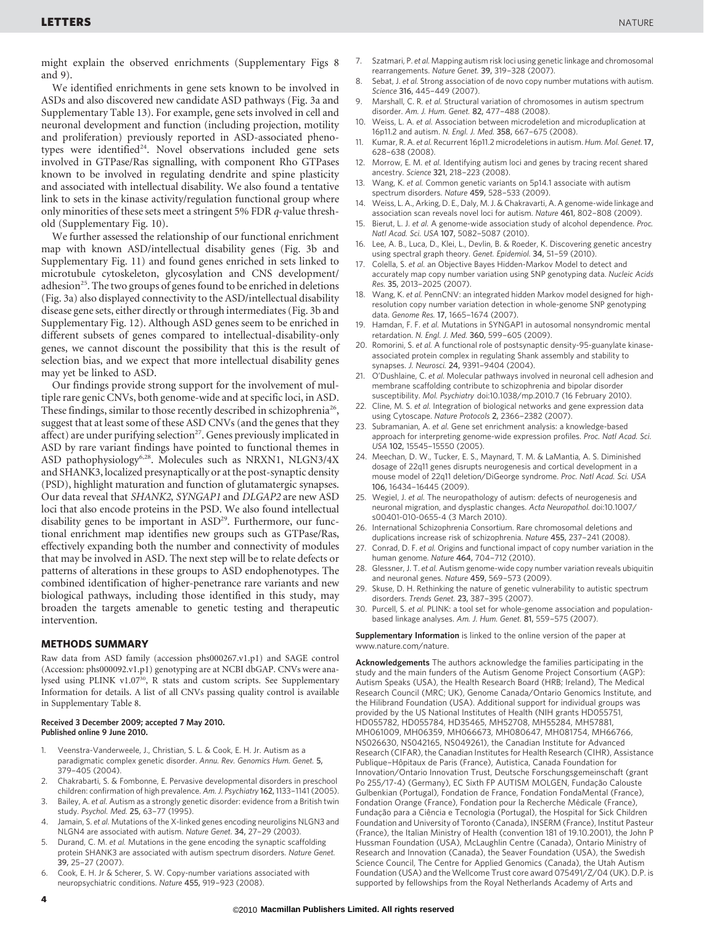might explain the observed enrichments (Supplementary Figs 8 and 9).

We identified enrichments in gene sets known to be involved in ASDs and also discovered new candidate ASD pathways (Fig. 3a and Supplementary Table 13). For example, gene sets involved in cell and neuronal development and function (including projection, motility and proliferation) previously reported in ASD-associated phenotypes were identified<sup>24</sup>. Novel observations included gene sets involved in GTPase/Ras signalling, with component Rho GTPases known to be involved in regulating dendrite and spine plasticity and associated with intellectual disability. We also found a tentative link to sets in the kinase activity/regulation functional group where only minorities of these sets meet a stringent 5% FDR q-value threshold (Supplementary Fig. 10).

We further assessed the relationship of our functional enrichment map with known ASD/intellectual disability genes (Fig. 3b and Supplementary Fig. 11) and found genes enriched in sets linked to microtubule cytoskeleton, glycosylation and CNS development/ adhesion<sup>25</sup>. The two groups of genes found to be enriched in deletions (Fig. 3a) also displayed connectivity to the ASD/intellectual disability disease gene sets, either directly or through intermediates (Fig. 3b and Supplementary Fig. 12). Although ASD genes seem to be enriched in different subsets of genes compared to intellectual-disability-only genes, we cannot discount the possibility that this is the result of selection bias, and we expect that more intellectual disability genes may yet be linked to ASD.

Our findings provide strong support for the involvement of multiple rare genic CNVs, both genome-wide and at specific loci, in ASD. These findings, similar to those recently described in schizophrenia<sup>26</sup>, suggest that at least some of these ASD CNVs (and the genes that they affect) are under purifying selection<sup>27</sup>. Genes previously implicated in ASD by rare variant findings have pointed to functional themes in ASD pathophysiology6,28. Molecules such as NRXN1, NLGN3/4X and SHANK3, localized presynaptically or at the post-synaptic density (PSD), highlight maturation and function of glutamatergic synapses. Our data reveal that SHANK2, SYNGAP1 and DLGAP2 are new ASD loci that also encode proteins in the PSD. We also found intellectual disability genes to be important in ASD<sup>29</sup>. Furthermore, our functional enrichment map identifies new groups such as GTPase/Ras, effectively expanding both the number and connectivity of modules that may be involved in ASD. The next step will be to relate defects or patterns of alterations in these groups to ASD endophenotypes. The combined identification of higher-penetrance rare variants and new biological pathways, including those identified in this study, may broaden the targets amenable to genetic testing and therapeutic intervention.

### METHODS SUMMARY

Raw data from ASD family (accession phs000267.v1.p1) and SAGE control (Accession: phs000092.v1.p1) genotyping are at NCBI dbGAP. CNVs were analysed using PLINK v1.07<sup>30</sup>, R stats and custom scripts. See Supplementary Information for details. A list of all CNVs passing quality control is available in Supplementary Table 8.

#### Received 3 December 2009; accepted 7 May 2010. Published online 9 June 2010.

- 1. Veenstra-Vanderweele, J., Christian, S. L. & Cook, E. H. Jr. Autism as a paradigmatic complex genetic disorder. Annu. Rev. Genomics Hum. Genet. 5, 379–405 (2004).
- 2. Chakrabarti, S. & Fombonne, E. Pervasive developmental disorders in preschool children: confirmation of high prevalence. Am. J. Psychiatry 162, 1133–1141 (2005).
- 3. Bailey, A. et al. Autism as a strongly genetic disorder: evidence from a British twin study. Psychol. Med. 25, 63–77 (1995).
- 4. Jamain, S. et al. Mutations of the X-linked genes encoding neuroligins NLGN3 and NLGN4 are associated with autism. Nature Genet. 34, 27–29 (2003).
- Durand, C. M. et al. Mutations in the gene encoding the synaptic scaffolding protein SHANK3 are associated with autism spectrum disorders. Nature Genet. 39, 25–27 (2007).
- 6. Cook, E. H. Jr & Scherer, S. W. Copy-number variations associated with neuropsychiatric conditions. Nature 455, 919–923 (2008).
- 7. Szatmari, P. et al. Mapping autism risk loci using genetic linkage and chromosomal rearrangements. Nature Genet. 39, 319–328 (2007).
- 8. Sebat, J. et al. Strong association of de novo copy number mutations with autism. Science 316, 445–449 (2007).
- 9. Marshall, C. R. et al. Structural variation of chromosomes in autism spectrum disorder. Am. J. Hum. Genet. 82, 477–488 (2008).
- 10. Weiss, L. A. et al. Association between microdeletion and microduplication at 16p11.2 and autism. N. Engl. J. Med. 358, 667–675 (2008).
- 11. Kumar, R. A. et al. Recurrent 16p11.2 microdeletions in autism. Hum. Mol. Genet. 17, 628–638 (2008).
- 12. Morrow, E. M. et al. Identifying autism loci and genes by tracing recent shared ancestry. Science 321, 218–223 (2008).
- 13. Wang, K. et al. Common genetic variants on 5p14.1 associate with autism spectrum disorders. Nature 459, 528–533 (2009).
- Weiss, L. A., Arking, D. E., Daly, M. J. & Chakravarti, A. A genome-wide linkage and association scan reveals novel loci for autism. Nature 461, 802–808 (2009).
- 15. Bierut, L. J. et al. A genome-wide association study of alcohol dependence. Proc. Natl Acad. Sci. USA 107, 5082–5087 (2010).
- 16. Lee, A. B., Luca, D., Klei, L., Devlin, B. & Roeder, K. Discovering genetic ancestry using spectral graph theory. Genet. Epidemiol. 34, 51–59 (2010).
- 17. Colella, S. et al. an Objective Bayes Hidden-Markov Model to detect and accurately map copy number variation using SNP genotyping data. Nucleic Acids Res. 35, 2013–2025 (2007).
- 18. Wang, K. et al. PennCNV: an integrated hidden Markov model designed for highresolution copy number variation detection in whole-genome SNP genotyping data. Genome Res. 17, 1665–1674 (2007).
- Hamdan, F. F. et al. Mutations in SYNGAP1 in autosomal nonsyndromic mental retardation. N. Engl. J. Med. 360, 599–605 (2009).
- 20. Romorini, S. et al. A functional role of postsynaptic density-95-guanylate kinaseassociated protein complex in regulating Shank assembly and stability to synapses. J. Neurosci. 24, 9391–9404 (2004).
- 21. O'Dushlaine, C. et al. Molecular pathways involved in neuronal cell adhesion and membrane scaffolding contribute to schizophrenia and bipolar disorder susceptibility. Mol. Psychiatry doi:10.1038/mp.2010.7 (16 February 2010).
- 22. Cline, M. S. et al. Integration of biological networks and gene expression data using Cytoscape. Nature Protocols 2, 2366–2382 (2007).
- 23. Subramanian, A. et al. Gene set enrichment analysis: a knowledge-based approach for interpreting genome-wide expression profiles. Proc. Natl Acad. Sci. USA 102, 15545–15550 (2005).
- 24. Meechan, D. W., Tucker, E. S., Maynard, T. M. & LaMantia, A. S. Diminished dosage of 22q11 genes disrupts neurogenesis and cortical development in a mouse model of 22q11 deletion/DiGeorge syndrome. Proc. Natl Acad. Sci. USA 106, 16434–16445 (2009).
- 25. Wegiel, J. et al. The neuropathology of autism: defects of neurogenesis and neuronal migration, and dysplastic changes. Acta Neuropathol. doi:10.1007/ s00401-010-0655-4 (3 March 2010).
- 26. International Schizophrenia Consortium. Rare chromosomal deletions and duplications increase risk of schizophrenia. Nature 455, 237–241 (2008).
- Conrad, D. F. et al. Origins and functional impact of copy number variation in the human genome. Nature 464, 704–712 (2010).
- 28. Glessner, J. T. et al. Autism genome-wide copy number variation reveals ubiquitin and neuronal genes. Nature 459, 569–573 (2009).
- 29. Skuse, D. H. Rethinking the nature of genetic vulnerability to autistic spectrum disorders. Trends Genet. 23, 387–395 (2007).
- 30. Purcell, S. et al. PLINK: a tool set for whole-genome association and populationbased linkage analyses. Am. J. Hum. Genet. 81, 559–575 (2007).

Supplementary Information is linked to the online version of the paper at <www.nature.com/nature>.

Acknowledgements The authors acknowledge the families participating in the study and the main funders of the Autism Genome Project Consortium (AGP): Autism Speaks (USA), the Health Research Board (HRB; Ireland), The Medical Research Council (MRC; UK), Genome Canada/Ontario Genomics Institute, and the Hilibrand Foundation (USA). Additional support for individual groups was provided by the US National Institutes of Health (NIH grants HD055751, HD055782, HD055784, HD35465, MH52708, MH55284, MH57881, MH061009, MH06359, MH066673, MH080647, MH081754, MH66766, NS026630, NS042165, NS049261), the Canadian Institute for Advanced Research (CIFAR), the Canadian Institutes for Health Research (CIHR), Assistance Publique–Hôpitaux de Paris (France), Autistica, Canada Foundation for Innovation/Ontario Innovation Trust, Deutsche Forschungsgemeinschaft (grant Po 255/17-4) (Germany), EC Sixth FP AUTISM MOLGEN, Fundação Calouste Gulbenkian (Portugal), Fondation de France, Fondation FondaMental (France), Fondation Orange (France), Fondation pour la Recherche Médicale (France), Fundação para a Ciência e Tecnologia (Portugal), the Hospital for Sick Children Foundation and University of Toronto (Canada), INSERM (France), Institut Pasteur (France), the Italian Ministry of Health (convention 181 of 19.10.2001), the John P Hussman Foundation (USA), McLaughlin Centre (Canada), Ontario Ministry of Research and Innovation (Canada), the Seaver Foundation (USA), the Swedish Science Council, The Centre for Applied Genomics (Canada), the Utah Autism Foundation (USA) and the Wellcome Trust core award 075491/Z/04 (UK). D.P. is supported by fellowships from the Royal Netherlands Academy of Arts and